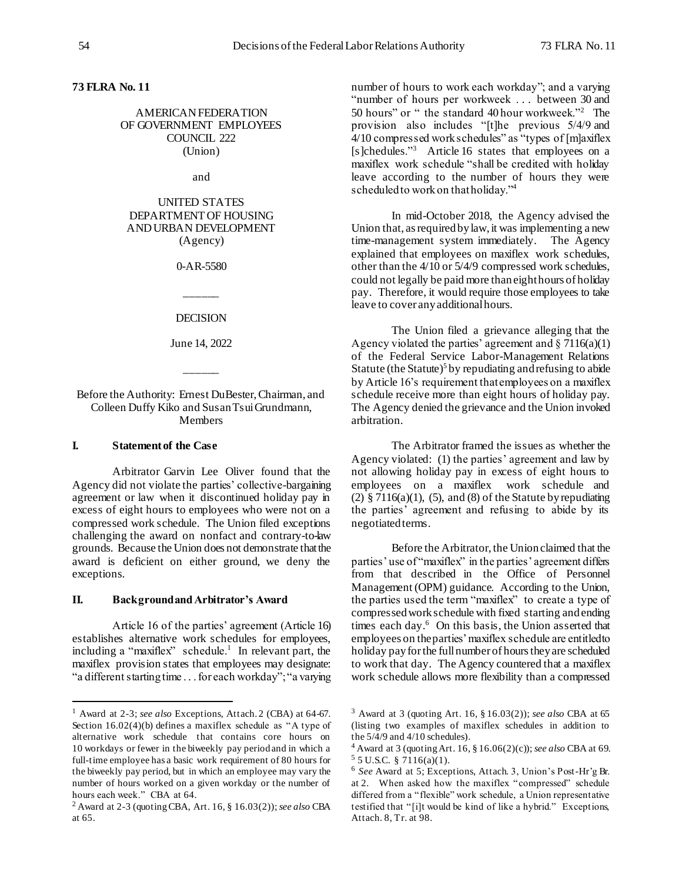# **73 FLRA No. 11**

### AMERICAN FEDERATION OF GOVERNMENT EMPLOYEES COUNCIL 222 (Union)

and

# UNITED STATES DEPARTMENT OF HOUSING AND URBAN DEVELOPMENT (Agency)

0-AR-5580

\_\_\_\_\_\_ DECISION

June 14, 2022

 $\overline{\phantom{a}}$ 

Before the Authority: Ernest DuBester, Chairman, and Colleen Duffy Kiko and Susan Tsui Grundmann, **Members** 

### **I. Statement of the Case**

l

Arbitrator Garvin Lee Oliver found that the Agency did not violate the parties' collective-bargaining agreement or law when it discontinued holiday pay in excess of eight hours to employees who were not on a compressed work schedule. The Union filed exceptions challenging the award on nonfact and contrary-to-law grounds. Because the Union does not demonstrate that the award is deficient on either ground, we deny the exceptions.

### **II. Background and Arbitrator's Award**

Article 16 of the parties' agreement (Article 16) establishes alternative work schedules for employees, including a "maxiflex" schedule.<sup>1</sup> In relevant part, the maxiflex provision states that employees may designate: "a different starting time . . . for each workday"; "a varying number of hours to work each workday"; and a varying "number of hours per workweek . . . between 30 and 50 hours" or " the standard 40 hour workweek."<sup>2</sup> The provision also includes "[t]he previous 5/4/9 and  $4/10$  compressed work schedules" as "types of [m]axiflex [s]chedules."<sup>3</sup> Article 16 states that employees on a maxiflex work schedule "shall be credited with holiday leave according to the number of hours they were scheduled to work on that holiday."<sup>4</sup>

In mid-October 2018, the Agency advised the Union that, as required by law, it was implementing a new time-management system immediately. The Agency explained that employees on maxiflex work schedules, other than the 4/10 or 5/4/9 compressed work schedules, could not legally be paid more than eight hours of holiday pay. Therefore, it would require those employees to take leave to cover any additional hours.

The Union filed a grievance alleging that the Agency violated the parties' agreement and  $\S$  7116(a)(1) of the Federal Service Labor-Management Relations Statute (the Statute)<sup>5</sup> by repudiating and refusing to abide by Article 16's requirement that employees on a maxiflex schedule receive more than eight hours of holiday pay. The Agency denied the grievance and the Union invoked arbitration.

The Arbitrator framed the issues as whether the Agency violated: (1) the parties' agreement and law by not allowing holiday pay in excess of eight hours to employees on a maxiflex work schedule and (2) § 7116(a)(1), (5), and (8) of the Statute by repudiating the parties' agreement and refusing to abide by its negotiated terms.

Before the Arbitrator, the Union claimed that the parties' use of "maxiflex" in the parties' agreement differs from that described in the Office of Personnel Management (OPM) guidance. According to the Union, the parties used the term "maxiflex" to create a type of compressed work schedule with fixed starting and ending times each day.<sup>6</sup> On this basis, the Union asserted that employees on the parties' maxiflex schedule are entitled to holiday pay for the full number of hours they are scheduled to work that day. The Agency countered that a maxiflex work schedule allows more flexibility than a compressed

<sup>1</sup> Award at 2-3; *see also* Exceptions, Attach. 2 (CBA) at 64-67. Section 16.02(4)(b) defines a maxiflex schedule as "A type of alternative work schedule that contains core hours on 10 workdays or fewer in the biweekly pay period and in which a full-time employee has a basic work requirement of 80 hours for the biweekly pay period, but in which an employee may vary the number of hours worked on a given workday or the number of hours each week." CBA at 64.

<sup>2</sup> Award at 2-3 (quoting CBA, Art. 16, § 16.03(2)); *see also* CBA at 65.

<sup>3</sup> Award at 3 (quoting Art. 16, § 16.03(2)); *see also* CBA at 65 (listing two examples of maxiflex schedules in addition to the 5/4/9 and 4/10 schedules).

<sup>4</sup> Award at 3 (quoting Art. 16, § 16.06(2)(c)); *see also* CBA at 69.  $55$  U.S.C. § 7116(a)(1).

<sup>6</sup> *See* Award at 5; Exceptions, Attach. 3, Union's Post-Hr'g Br. at 2. When asked how the maxiflex "compressed" schedule differed from a "flexible" work schedule, a Union representative testified that "[i]t would be kind of like a hybrid." Exceptions, Attach. 8, Tr. at 98.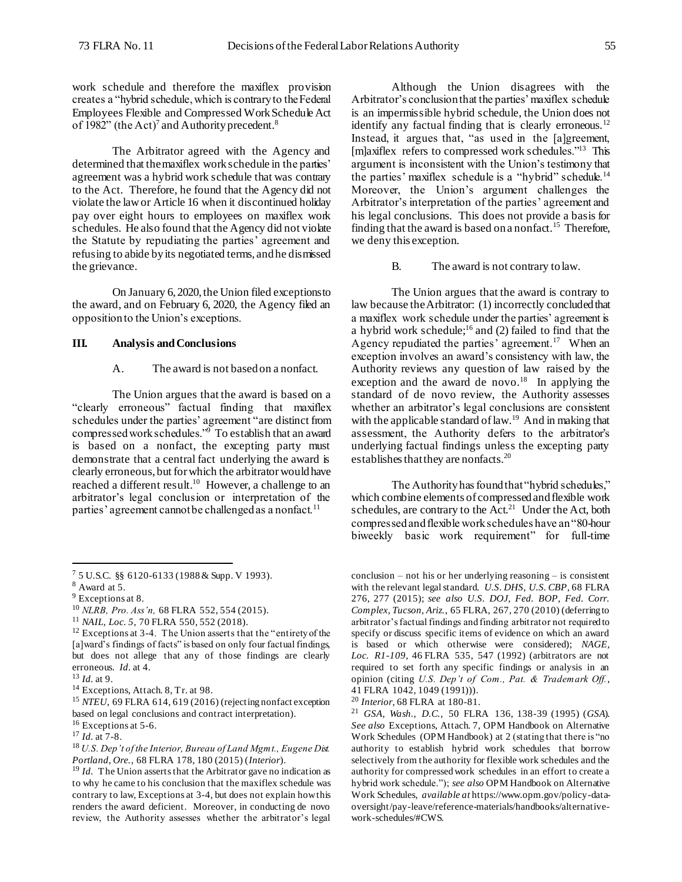work schedule and therefore the maxiflex provision creates a "hybrid schedule, which is contrary to the Federal Employees Flexible and Compressed Work Schedule Act of 1982" (the Act)<sup>7</sup> and Authority precedent.<sup>8</sup>

The Arbitrator agreed with the Agency and determined that the maxiflex work schedule in the parties' agreement was a hybrid work schedule that was contrary to the Act. Therefore, he found that the Agency did not violate the law or Article 16 when it discontinued holiday pay over eight hours to employees on maxiflex work schedules. He also found that the Agency did not violate the Statute by repudiating the parties' agreement and refusing to abide by its negotiated terms, and he dismissed the grievance.

On January 6, 2020, the Union filed exceptions to the award, and on February 6, 2020, the Agency filed an opposition to the Union's exceptions.

### **III. Analysis and Conclusions**

#### A. The award is not based on a nonfact.

The Union argues that the award is based on a "clearly erroneous" factual finding that maxiflex schedules under the parties' agreement "are distinct from compressed work schedules."<sup>9</sup> To establish that an award is based on a nonfact, the excepting party must demonstrate that a central fact underlying the award is clearly erroneous, but for which the arbitrator would have reached a different result.<sup>10</sup> However, a challenge to an arbitrator's legal conclusion or interpretation of the parties' agreement cannot be challenged as a nonfact.<sup>11</sup>

l

Although the Union disagrees with the Arbitrator's conclusion that the parties' maxiflex schedule is an impermissible hybrid schedule, the Union does not identify any factual finding that is clearly erroneous.<sup>12</sup> Instead, it argues that, "as used in the [a]greement, [m]axiflex refers to compressed work schedules."<sup>13</sup> This argument is inconsistent with the Union's testimony that the parties' maxiflex schedule is a "hybrid" schedule.<sup>14</sup> Moreover, the Union's argument challenges the Arbitrator's interpretation of the parties' agreement and his legal conclusions. This does not provide a basis for finding that the award is based on a nonfact.<sup>15</sup> Therefore, we deny this exception.

#### B. The award is not contrary to law.

The Union argues that the award is contrary to law because the Arbitrator: (1) incorrectly concluded that a maxiflex work schedule under the parties' agreement is a hybrid work schedule;<sup>16</sup> and (2) failed to find that the Agency repudiated the parties' agreement.<sup>17</sup> When an exception involves an award's consistency with law, the Authority reviews any question of law raised by the exception and the award de novo.<sup>18</sup> In applying the standard of de novo review, the Authority assesses whether an arbitrator's legal conclusions are consistent with the applicable standard of law.<sup>19</sup> And in making that assessment, the Authority defers to the arbitrator's underlying factual findings unless the excepting party establishes that they are nonfacts.<sup>20</sup>

The Authority has found that "hybrid schedules," which combine elements of compressed and flexible work schedules, are contrary to the  $Act.^{21}$  Under the Act, both compressed and flexible work schedules have an "80-hour biweekly basic work requirement" for full-time

<sup>7</sup> 5 U.S.C. §§ 6120-6133 (1988 & Supp. V 1993).

 $8$  Award at 5.

<sup>9</sup> Exceptions at 8.

<sup>10</sup> *NLRB, Pro. Ass'n,* 68 FLRA 552, 554 (2015).

<sup>11</sup> *NAIL, Loc. 5*, 70 FLRA 550, 552 (2018).

 $12$  Exceptions at 3-4. The Union asserts that the "entirety of the [a]ward's findings of facts" is based on only four factual findings, but does not allege that any of those findings are clearly erroneous. *Id.* at 4.

<sup>13</sup> *Id.* at 9.

<sup>14</sup> Exceptions, Attach. 8, Tr. at 98.

<sup>15</sup> *NTEU*, 69 FLRA 614, 619 (2016) (rejecting nonfact exception based on legal conclusions and contract interpretation).

<sup>&</sup>lt;sup>16</sup> Exceptions at 5-6.

<sup>17</sup> *Id.* at 7-8.

<sup>18</sup> *U.S. Dep't of the Interior, Bureau of Land Mgmt., Eugene Dist. Portland, Ore.*, 68 FLRA 178, 180 (2015) (*Interior*).

<sup>&</sup>lt;sup>19</sup> *Id.* The Union asserts that the Arbitrator gave no indication as to why he came to his conclusion that the maxiflex schedule was contrary to law, Exceptions at 3-4, but does not explain how this renders the award deficient. Moreover, in conducting de novo review, the Authority assesses whether the arbitrator's legal

conclusion – not his or her underlying reasoning – is consistent with the relevant legal standard. *U.S. DHS, U.S. CBP*, 68 FLRA 276, 277 (2015); *see also U.S. DOJ, Fed. BOP, Fed. Corr. Complex, Tucson, Ariz.*, 65 FLRA, 267, 270 (2010) (deferring to arbitrator's factual findings and finding arbitrator not required to specify or discuss specific items of evidence on which an award is based or which otherwise were considered); *NAGE, Loc. R1-109*, 46 FLRA 535, 547 (1992) (arbitrators are not required to set forth any specific findings or analysis in an opinion (citing *U.S. Dep't of Com., Pat. & Trademark Off.*, 41 FLRA 1042, 1049 (1991))).

<sup>20</sup> *Interior*, 68 FLRA at 180-81.

<sup>21</sup> *GSA, Wash., D.C.*, 50 FLRA 136, 138-39 (1995) (*GSA*). *See also* Exceptions, Attach. 7, OPM Handbook on Alternative Work Schedules (OPM Handbook) at 2 (stating that there is "no authority to establish hybrid work schedules that borrow selectively from the authority for flexible work schedules and the authority for compressed work schedules in an effort to create a hybrid work schedule."); *see also* OPM Handbook on Alternative Work Schedules, *available at* https://www.opm.gov/policy-dataoversight/pay-leave/reference-materials/handbooks/alternativework-schedules/#CWS.